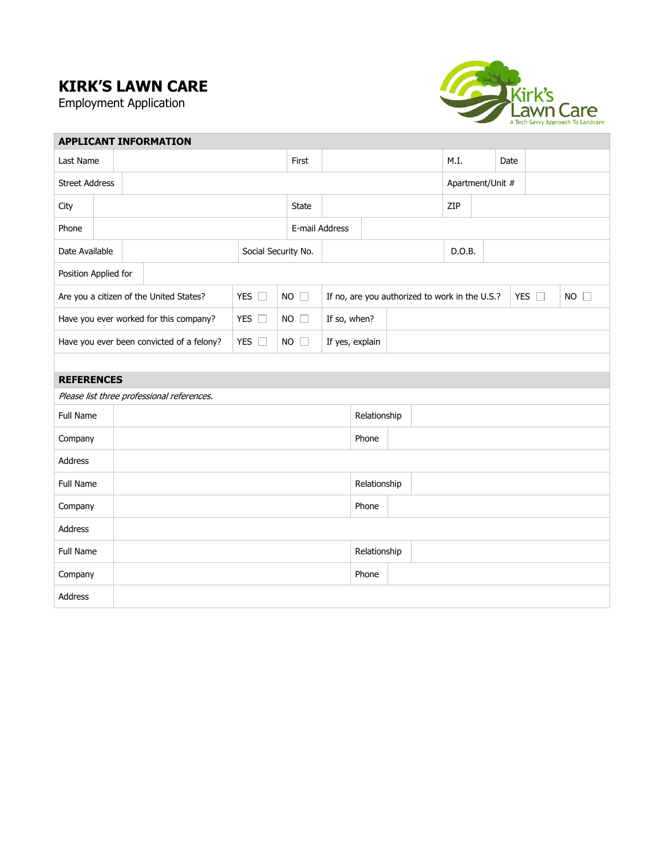## **KIRK'S LAWN CARE**

Employment Application



| <b>APPLICANT INFORMATION</b>               |                      |  |                     |              |                                                |                 |     |                  |      |               |             |
|--------------------------------------------|----------------------|--|---------------------|--------------|------------------------------------------------|-----------------|-----|------------------|------|---------------|-------------|
| Last Name                                  |                      |  |                     | First        |                                                |                 |     | M.I.             | Date |               |             |
| <b>Street Address</b>                      |                      |  |                     |              |                                                |                 |     | Apartment/Unit # |      |               |             |
| City                                       |                      |  | <b>State</b>        |              |                                                |                 | ZIP |                  |      |               |             |
| Phone                                      |                      |  |                     |              | E-mail Address                                 |                 |     |                  |      |               |             |
| Date Available                             |                      |  | Social Security No. |              |                                                | D.O.B.          |     |                  |      |               |             |
|                                            | Position Applied for |  |                     |              |                                                |                 |     |                  |      |               |             |
| Are you a citizen of the United States?    |                      |  | YES $\square$       | $NO$ $\Box$  | If no, are you authorized to work in the U.S.? |                 |     |                  |      | YES $\square$ | $NO$ $\Box$ |
| Have you ever worked for this company?     |                      |  | YES $\square$       | $NO$ $\Box$  | If so, when?                                   |                 |     |                  |      |               |             |
| Have you ever been convicted of a felony?  |                      |  | YES $\square$       | $NO$ $\Box$  |                                                | If yes, explain |     |                  |      |               |             |
|                                            |                      |  |                     |              |                                                |                 |     |                  |      |               |             |
| <b>REFERENCES</b>                          |                      |  |                     |              |                                                |                 |     |                  |      |               |             |
| Please list three professional references. |                      |  |                     |              |                                                |                 |     |                  |      |               |             |
| Full Name                                  |                      |  |                     |              |                                                | Relationship    |     |                  |      |               |             |
| Company                                    |                      |  |                     |              |                                                | Phone           |     |                  |      |               |             |
| Address                                    |                      |  |                     |              |                                                |                 |     |                  |      |               |             |
| Full Name                                  |                      |  |                     | Relationship |                                                |                 |     |                  |      |               |             |
| Company                                    |                      |  |                     |              | Phone                                          |                 |     |                  |      |               |             |
| Address                                    |                      |  |                     |              |                                                |                 |     |                  |      |               |             |
| Full Name                                  |                      |  |                     | Relationship |                                                |                 |     |                  |      |               |             |
| Company                                    |                      |  |                     |              | Phone                                          |                 |     |                  |      |               |             |
| <b>Address</b>                             |                      |  |                     |              |                                                |                 |     |                  |      |               |             |